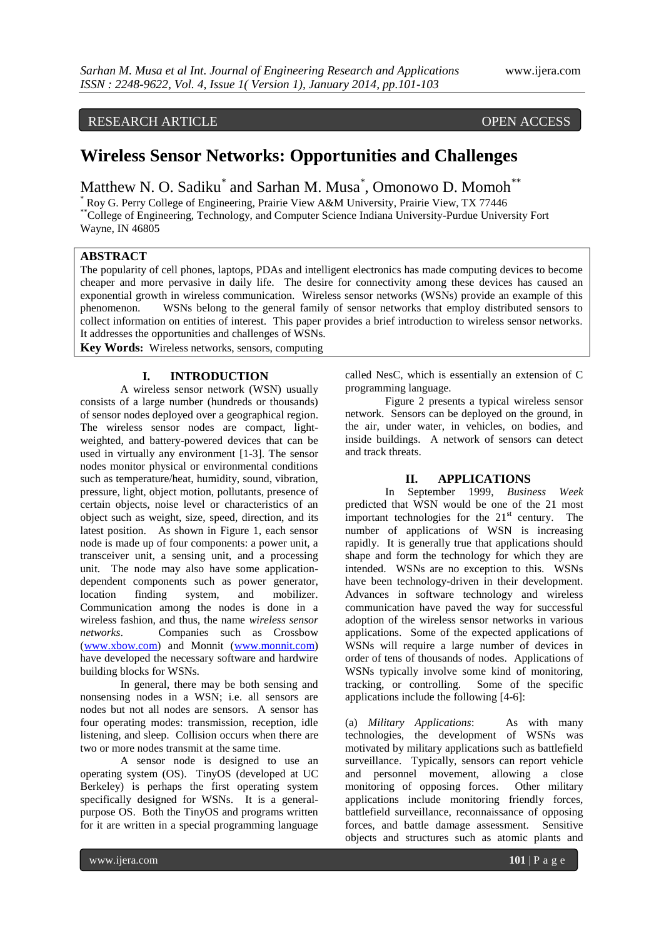## RESEARCH ARTICLE OPEN ACCESS

# **Wireless Sensor Networks: Opportunities and Challenges**

Matthew N. O. Sadiku<sup>\*</sup> and Sarhan M. Musa<sup>\*</sup>, Omonowo D. Momoh<sup>\*\*</sup>

\* Roy G. Perry College of Engineering, Prairie View A&M University, Prairie View, TX 77446 \*\*College of Engineering, Technology, and Computer Science Indiana University-Purdue University Fort Wayne, IN 46805

#### **ABSTRACT**

The popularity of cell phones, laptops, PDAs and intelligent electronics has made computing devices to become cheaper and more pervasive in daily life. The desire for connectivity among these devices has caused an exponential growth in wireless communication. Wireless sensor networks (WSNs) provide an example of this phenomenon. WSNs belong to the general family of sensor networks that employ distributed sensors to collect information on entities of interest. This paper provides a brief introduction to wireless sensor networks. It addresses the opportunities and challenges of WSNs.

**Key Words:** Wireless networks, sensors, computing

### **I. INTRODUCTION**

A wireless sensor network (WSN) usually consists of a large number (hundreds or thousands) of sensor nodes deployed over a geographical region. The wireless sensor nodes are compact, lightweighted, and battery-powered devices that can be used in virtually any environment [1-3]. The sensor nodes monitor physical or environmental conditions such as temperature/heat, humidity, sound, vibration, pressure, light, object motion, pollutants, presence of certain objects, noise level or characteristics of an object such as weight, size, speed, direction, and its latest position. As shown in Figure 1, each sensor node is made up of four components: a power unit, a transceiver unit, a sensing unit, and a processing unit. The node may also have some applicationdependent components such as power generator, location finding system, and mobilizer. Communication among the nodes is done in a wireless fashion, and thus, the name *wireless sensor networks*. Companies such as Crossbow [\(www.xbow.com\)](http://www.xbow.com/) and Monnit [\(www.monnit.com\)](http://www.monnit.com/) have developed the necessary software and hardwire building blocks for WSNs.

In general, there may be both sensing and nonsensing nodes in a WSN; i.e. all sensors are nodes but not all nodes are sensors. A sensor has four operating modes: transmission, reception, idle listening, and sleep. Collision occurs when there are two or more nodes transmit at the same time.

A sensor node is designed to use an operating system (OS). TinyOS (developed at UC Berkeley) is perhaps the first operating system specifically designed for WSNs. It is a generalpurpose OS. Both the TinyOS and programs written for it are written in a special programming language

called NesC, which is essentially an extension of C programming language.

Figure 2 presents a typical wireless sensor network. Sensors can be deployed on the ground, in the air, under water, in vehicles, on bodies, and inside buildings. A network of sensors can detect and track threats.

#### **II. APPLICATIONS**

In September 1999, *Business Week* predicted that WSN would be one of the 21 most important technologies for the  $21<sup>st</sup>$  century. The number of applications of WSN is increasing rapidly. It is generally true that applications should shape and form the technology for which they are intended. WSNs are no exception to this. WSNs have been technology-driven in their development. Advances in software technology and wireless communication have paved the way for successful adoption of the wireless sensor networks in various applications. Some of the expected applications of WSNs will require a large number of devices in order of tens of thousands of nodes. Applications of WSNs typically involve some kind of monitoring, tracking, or controlling. Some of the specific applications include the following [4-6]:

(a) *Military Applications*: As with many technologies, the development of WSNs was motivated by military applications such as battlefield surveillance. Typically, sensors can report vehicle and personnel movement, allowing a close monitoring of opposing forces. Other military applications include monitoring friendly forces, battlefield surveillance, reconnaissance of opposing forces, and battle damage assessment. Sensitive objects and structures such as atomic plants and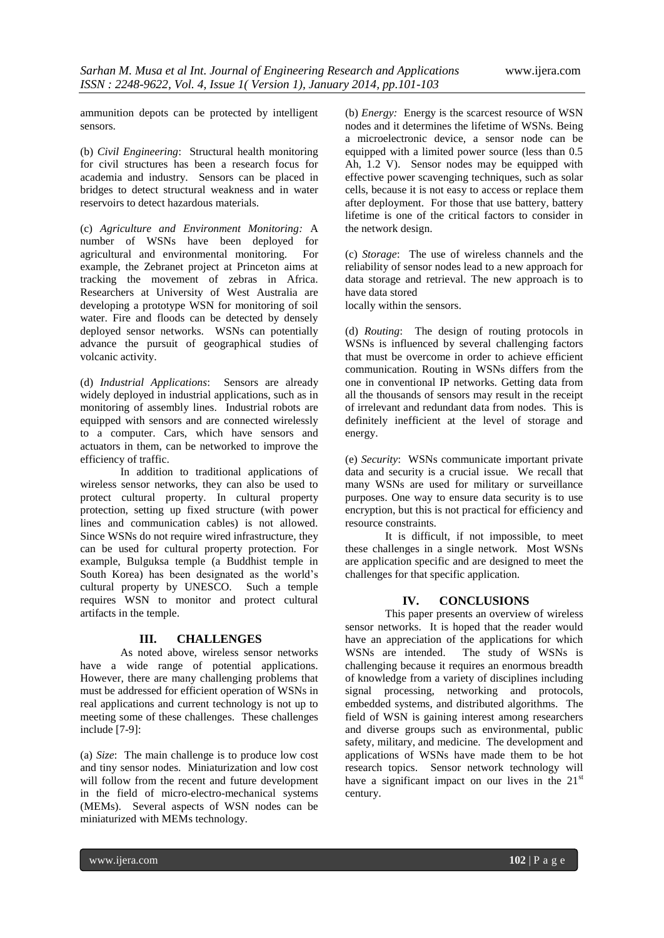ammunition depots can be protected by intelligent sensors.

(b) *Civil Engineering*: Structural health monitoring for civil structures has been a research focus for academia and industry. Sensors can be placed in bridges to detect structural weakness and in water reservoirs to detect hazardous materials.

(c) *Agriculture and Environment Monitoring:* A number of WSNs have been deployed for agricultural and environmental monitoring. For example, the Zebranet project at Princeton aims at tracking the movement of zebras in Africa. Researchers at University of West Australia are developing a prototype WSN for monitoring of soil water. Fire and floods can be detected by densely deployed sensor networks. WSNs can potentially advance the pursuit of geographical studies of volcanic activity.

(d) *Industrial Applications*: Sensors are already widely deployed in industrial applications, such as in monitoring of assembly lines. Industrial robots are equipped with sensors and are connected wirelessly to a computer. Cars, which have sensors and actuators in them, can be networked to improve the efficiency of traffic.

In addition to traditional applications of wireless sensor networks, they can also be used to protect cultural property. In cultural property protection, setting up fixed structure (with power lines and communication cables) is not allowed. Since WSNs do not require wired infrastructure, they can be used for cultural property protection. For example, Bulguksa temple (a Buddhist temple in South Korea) has been designated as the world's cultural property by UNESCO. Such a temple requires WSN to monitor and protect cultural artifacts in the temple.

### **III. CHALLENGES**

As noted above, wireless sensor networks have a wide range of potential applications. However, there are many challenging problems that must be addressed for efficient operation of WSNs in real applications and current technology is not up to meeting some of these challenges. These challenges include [7-9]:

(a) *Size*: The main challenge is to produce low cost and tiny sensor nodes. Miniaturization and low cost will follow from the recent and future development in the field of micro-electro-mechanical systems (MEMs). Several aspects of WSN nodes can be miniaturized with MEMs technology.

(b) *Energy:* Energy is the scarcest resource of WSN nodes and it determines the lifetime of WSNs. Being a microelectronic device, a sensor node can be equipped with a limited power source (less than 0.5 Ah, 1.2 V). Sensor nodes may be equipped with effective power scavenging techniques, such as solar cells, because it is not easy to access or replace them after deployment. For those that use battery, battery lifetime is one of the critical factors to consider in the network design.

(c) *Storage*: The use of wireless channels and the reliability of sensor nodes lead to a new approach for data storage and retrieval. The new approach is to have data stored

locally within the sensors.

(d) *Routing*: The design of routing protocols in WSNs is influenced by several challenging factors that must be overcome in order to achieve efficient communication. Routing in WSNs differs from the one in conventional IP networks. Getting data from all the thousands of sensors may result in the receipt of irrelevant and redundant data from nodes. This is definitely inefficient at the level of storage and energy.

(e) *Security*: WSNs communicate important private data and security is a crucial issue. We recall that many WSNs are used for military or surveillance purposes. One way to ensure data security is to use encryption, but this is not practical for efficiency and resource constraints.

It is difficult, if not impossible, to meet these challenges in a single network. Most WSNs are application specific and are designed to meet the challenges for that specific application.

#### **IV. CONCLUSIONS**

This paper presents an overview of wireless sensor networks. It is hoped that the reader would have an appreciation of the applications for which WSNs are intended. The study of WSNs is challenging because it requires an enormous breadth of knowledge from a variety of disciplines including signal processing, networking and protocols, embedded systems, and distributed algorithms. The field of WSN is gaining interest among researchers and diverse groups such as environmental, public safety, military, and medicine. The development and applications of WSNs have made them to be hot research topics. Sensor network technology will have a significant impact on our lives in the  $21<sup>st</sup>$ century.